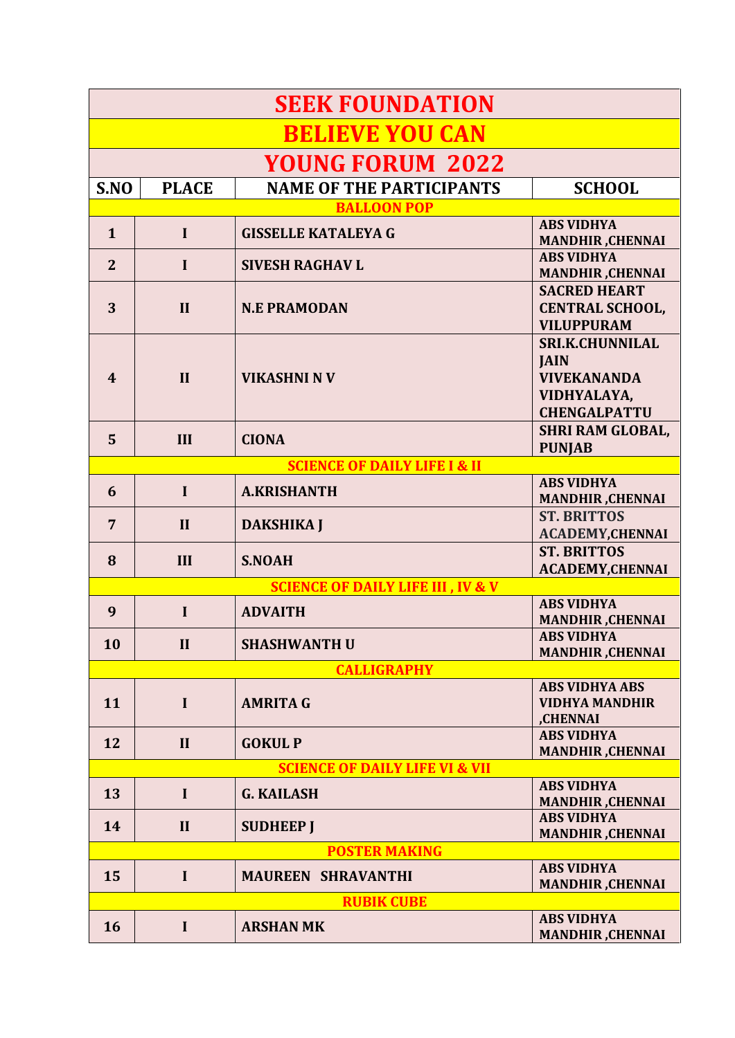| <b>SEEK FOUNDATION</b>                       |              |                                         |                                                                                                   |  |  |
|----------------------------------------------|--------------|-----------------------------------------|---------------------------------------------------------------------------------------------------|--|--|
| <b>BELIEVE YOU CAN</b>                       |              |                                         |                                                                                                   |  |  |
| <b>YOUNG FORUM 2022</b>                      |              |                                         |                                                                                                   |  |  |
| S.NO                                         | <b>PLACE</b> | <b>NAME OF THE PARTICIPANTS</b>         | <b>SCHOOL</b>                                                                                     |  |  |
|                                              |              | <b>BALLOON POP</b>                      |                                                                                                   |  |  |
| $\mathbf{1}$                                 | $\mathbf I$  | <b>GISSELLE KATALEYA G</b>              | <b>ABS VIDHYA</b><br><b>MANDHIR, CHENNAI</b>                                                      |  |  |
| $\overline{2}$                               | $\mathbf I$  | <b>SIVESH RAGHAV L</b>                  | <b>ABS VIDHYA</b><br><b>MANDHIR, CHENNAI</b>                                                      |  |  |
| 3                                            | $\mathbf{I}$ | <b>N.E PRAMODAN</b>                     | <b>SACRED HEART</b><br><b>CENTRAL SCHOOL,</b><br><b>VILUPPURAM</b>                                |  |  |
| $\boldsymbol{\psi}$                          | $\mathbf{I}$ | <b>VIKASHNI N V</b>                     | <b>SRI.K.CHUNNILAL</b><br><b>JAIN</b><br><b>VIVEKANANDA</b><br>VIDHYALAYA,<br><b>CHENGALPATTU</b> |  |  |
| 5                                            | III          | <b>CIONA</b>                            | <b>SHRI RAM GLOBAL,</b><br><b>PUNJAB</b>                                                          |  |  |
|                                              |              | <b>SCIENCE OF DAILY LIFE I &amp; II</b> |                                                                                                   |  |  |
| 6                                            | $\mathbf I$  | <b>A.KRISHANTH</b>                      | <b>ABS VIDHYA</b><br><b>MANDHIR, CHENNAI</b>                                                      |  |  |
| 7                                            | $\mathbf{I}$ | <b>DAKSHIKA J</b>                       | <b>ST. BRITTOS</b><br><b>ACADEMY, CHENNAI</b>                                                     |  |  |
| 8                                            | III          | <b>S.NOAH</b>                           | <b>ST. BRITTOS</b><br><b>ACADEMY, CHENNAI</b>                                                     |  |  |
| <b>SCIENCE OF DAILY LIFE III, IV &amp; V</b> |              |                                         |                                                                                                   |  |  |
| 9                                            | $\mathbf I$  | <b>ADVAITH</b>                          | <b>ABS VIDHYA</b><br><b>MANDHIR, CHENNAI</b>                                                      |  |  |
| 10                                           | $\mathbf{I}$ | <b>SHASHWANTH U</b>                     | <b>ABS VIDHYA</b><br><b>MANDHIR, CHENNAI</b>                                                      |  |  |
| <b>CALLIGRAPHY</b>                           |              |                                         |                                                                                                   |  |  |
| 11                                           | $\mathbf I$  | <b>AMRITA G</b>                         | <b>ABS VIDHYA ABS</b><br><b>VIDHYA MANDHIR</b><br>,CHENNAI                                        |  |  |
| 12                                           | $\mathbf{I}$ | <b>GOKUL P</b>                          | <b>ABS VIDHYA</b><br><b>MANDHIR, CHENNAI</b>                                                      |  |  |
| <b>SCIENCE OF DAILY LIFE VI &amp; VII</b>    |              |                                         |                                                                                                   |  |  |
| 13                                           | $\mathbf I$  | <b>G. KAILASH</b>                       | <b>ABS VIDHYA</b><br><b>MANDHIR, CHENNAI</b>                                                      |  |  |
| 14                                           | II           | <b>SUDHEEP J</b>                        | <b>ABS VIDHYA</b><br><b>MANDHIR, CHENNAI</b>                                                      |  |  |
| <b>POSTER MAKING</b>                         |              |                                         |                                                                                                   |  |  |
| 15                                           | $\mathbf I$  | <b>MAUREEN SHRAVANTHI</b>               | <b>ABS VIDHYA</b><br><b>MANDHIR, CHENNAI</b>                                                      |  |  |
| <b>RUBIK CUBE</b>                            |              |                                         |                                                                                                   |  |  |
| 16                                           | $\mathbf I$  | <b>ARSHAN MK</b>                        | <b>ABS VIDHYA</b><br><b>MANDHIR, CHENNAI</b>                                                      |  |  |